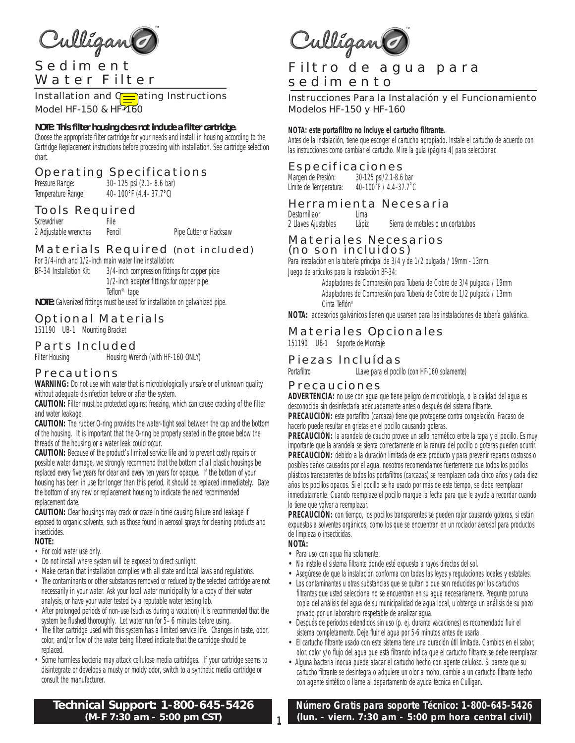

Installation and  $Q\equiv$  ating Instructions Model HF-150 & HF-160

#### **NOTE: This filter housing does not include a filter cartridge.**

Choose the appropriate filter cartridge for your needs and install in housing according to the Cartridge Replacement instructions before proceeding with installation. See cartridge selection chart.

### Operating Specifications

Pressure Range: 30–125 psi (2.1–8.6 bar) Temperature Range: 40-100°F (4.4-37.7°C)

### Tools Required

Screwdriver File 2 Adjustable wrenches Pencil Pipe Cutter or Hacksaw

### Materials Required (not included)

For 3/4-inch and 1/2-inch main water line installation: BF-34 Installation Kit: 3/4-inch compression fittings for copper pipe 1/2-inch adapter fittings for copper pipe Teflon® tape

**NOTE:** Galvanized fittings must be used for installation on galvanized pipe.

### Optional Materials

151190 UB-1 Mounting Bracket

### Parts Included

Filter Housing **Housing Wrench (with HF-160 ONLY)** 

### Precautions

**WARNING:** Do not use with water that is microbiologically unsafe or of unknown quality without adequate disinfection before or after the system.

**CAUTION:** Filter must be protected against freezing, which can cause cracking of the filter and water leakage.

**CAUTION:** The rubber O-ring provides the water-tight seal between the cap and the bottom of the housing. It is important that the O-ring be properly seated in the groove below the threads of the housing or a water leak could occur.

**CAUTION:** Because of the product's limited service life and to prevent costly repairs or possible water damage, we strongly recommend that the bottom of all plastic housings be replaced every five years for clear and every ten years for opaque. If the bottom of your housing has been in use for longer than this period, it should be replaced immediately. Date the bottom of any new or replacement housing to indicate the next recommended replacement date.

**CAUTION:** Clear housings may crack or craze in time causing failure and leakage if exposed to organic solvents, such as those found in aerosol sprays for cleaning products and insecticides.

#### **NOTE:**

- For cold water use only.
- Do not install where system will be exposed to direct sunlight.
- Make certain that installation complies with all state and local laws and regulations.
- The contaminants or other substances removed or reduced by the selected cartridge are not necessarily in your water. Ask your local water municipality for a copy of their water analysis, or have your water tested by a reputable water testing lab.
- After prolonged periods of non-use (such as during a vacation) it is recommended that the system be flushed thoroughly. Let water run for 5–6 minutes before using.
- The filter cartridge used with this system has a limited service life. Changes in taste, odor, color, and/or flow of the water being filtered indicate that the cartridge should be replaced.
- Some harmless bacteria may attack cellulose media cartridges. If your cartridge seems to disintegrate or develops a musty or moldy odor, switch to a synthetic media cartridge or consult the manufacturer.

**Technical Support: 1-800-645-5426 (M-F 7:30 am - 5:00 pm CST)**

Culligante

# Filtro de agua para sedimento

Instrucciones Para la Instalación y el Funcionamiento Modelos HF-150 y HF-160

#### *NOTA: este portafiltro no incluye el cartucho filtrante.*

*Antes de la instalación, tiene que escoger el cartucho apropiado. Instale el cartucho de acuerdo con las instrucciones como cambiar el cartucho. Mire la guía (página 4) para seleccionar.*

### Especificaciones

*Margen de Presión: 30-125 psi/2.1-8.6 bar Límite de Temperatura: 40–100˚F / 4.4–37.7˚C*

### Herramienta Necesaria

*Destornillaor Lima 2 Llaves Ajustables Lápiz Sierra de metales o un cortatubos* 

# Materiales Necesarios

(no son incluidos)

*Para instalación en la tubería principal de 3/4 y de 1/2 pulgada / 19mm - 13mm. Juego de artículos para la instalación BF-34:*

> *Adaptadores de Compresión para Tubería de Cobre de 3/4 pulgada / 19mm Adaptadores de Compresión para Tubería de Cobre de 1/2 pulgada / 13mm Cinta Teflón®*

*NOTA: accesorios galvánicos tienen que usarsen para las instalaciones de tubería galvánica.*

### Materiales Opcionales

*151190 UB-1 Soporte de Montaje*

### Piezas Incluídas

*Portafiltro LLave para el pocillo (con HF-160 solamente)*

#### Precauciones

*ADVERTENCIA: no use con agua que tiene peligro de microbiología, o la calidad del agua es desconocida sin desinfectarla adecuadamente antes o después del sistema filtrante.*

*PRECAUCIÓN: este portafiltro (carcaza) tiene que protegerse contra congelación. Fracaso de hacerlo puede resultar en grietas en el pocillo causando goteras.*

*PRECAUCIÓN: la arandela de caucho provee un sello hermético entre la tapa y el pocillo. Es muy importante que la arandela se sienta correctamente en la ranura del pocillo o goteras pueden ocurrir. PRECAUCIÓN: debido a la duración limitada de este producto y para prevenir reparos costosos o posibles daños causados por el agua, nosotros recomendamos fuertemente que todos los pocillos plásticos transparentes de todos los portafiltros (carcazas) se reemplazen cada cinco años y cada diez años los pocillos opacos. Si el pocillo se ha usado por más de este tiempo, se debe reemplazar inmediatamente. Cuando reemplaze el pocillo marque la fecha para que le ayude a recordar cuando lo tiene que volver a reemplazar.* 

*PRECAUCIÓN: con tiempo, los pocillos transparentes se pueden rajar causando goteras, si están expuestos a solventes orgánicos, como los que se encuentran en un rociador aerosol para productos de limpieza o insecticidas.*

#### *NOTA:*

- *Para uso con agua fria solamente.*
- *No instale el sistema filtrante donde esté expuesto a rayos directos del sol.*
- *Asegúrese de que la instalación conforma con todas las leyes y regulaciones locales y estatales.*
- *Los contaminantes u otras substancias que se quitan o que son reducidas por los cartuchos filtrantes que usted selecciona no se encuentran en su agua necesariamente. Pregunte por una copia del análisis del agua de su municipalidad de agua local, u obtenga un análisis de su pozo privado por un laboratorio respetable de analizar agua.*
- *Después de periodos extendidos sin uso (p. ej. durante vacaciones) es recomendado fluir el sistema completamente. Deje fluir el agua por 5-6 minutos antes de usarla.*
- *El cartucho filtrante usado con este sistema tiene una duración útil limitada. Cambios en el sabor, olor, color y/o flujo del agua que está filtrando indica que el cartucho filtrante se debe reemplazar.*
- *• Alguna bacteria inocua puede atacar el cartucho hecho con agente celuloso. Si parece que su cartucho filtrante se desintegra o adquiere un olor a moho, cambie a un cartucho filtrante hecho con agente sintético o llame al departamento de ayuda técnica en Culligan.*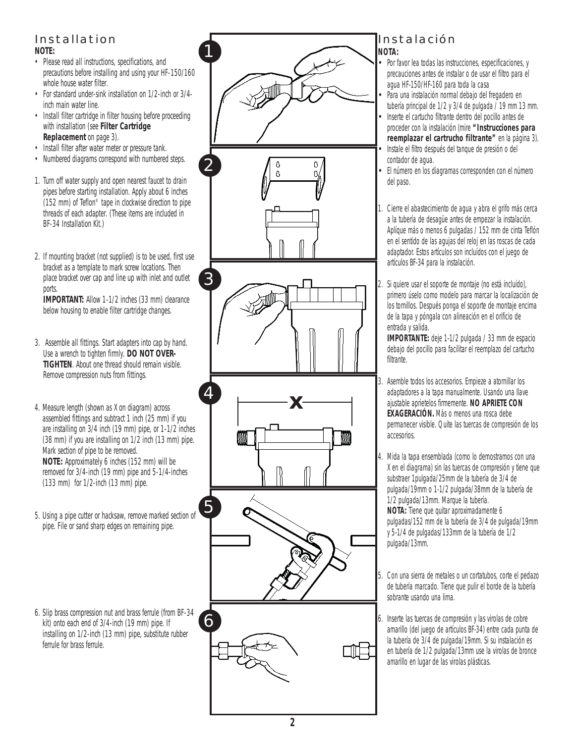# Installation

**NOTE:**

- Please read all instructions, specifications, and precautions before installing and using your HF-150/160 whole house water filter.
- For standard under-sink installation on 1/2-inch or 3/4 inch main water line.
- Install filter cartridge in filter housing before proceeding with installation (see **Filter Cartridge Replacement** on page 3).
- Install filter after water meter or pressure tank.
- Numbered diagrams correspond with numbered steps.
- 1. Turn off water supply and open nearest faucet to drain pipes before starting installation. Apply about 6 inches (152 mm) of Teflon® tape in clockwise direction to pipe threads of each adapter. (These items are included in BF-34 Installation Kit.)
- 2. If mounting bracket (not supplied) is to be used, first use bracket as a template to mark screw locations. Then place bracket over cap and line up with inlet and outlet ports.

**IMPORTANT:** Allow 1-1/2 inches (33 mm) clearance below housing to enable filter cartridge changes.

- 3. Assemble all fittings. Start adapters into cap by hand. Use a wrench to tighten firmly. **DO NOT OVER-TIGHTEN**. About one thread should remain visible. Remove compression nuts from fittings.
- 4. Measure length (shown as X on diagram) across assembled fittings and subtract 1 inch (25 mm) if you are installing on 3/4 inch (19 mm) pipe, or 1-1/2 inches (38 mm) if you are installing on 1/2 inch (13 mm) pipe. Mark section of pipe to be removed. **NOTE:** Approximately 6 inches (152 mm) will be removed for 3/4-inch (19 mm) pipe and 5-1/4-inches (133 mm) for 1/2-inch (13 mm) pipe.
- 5. Using a pipe cutter or hacksaw, remove marked section of pipe. File or sand sharp edges on remaining pipe.
- 6. Slip brass compression nut and brass ferrule (from BF-34 kit) onto each end of 3/4-inch (19 mm) pipe. If installing on 1/2-inch (13 mm) pipe, substitute rubber ferrule for brass ferrule.



### Instalación *NOTA:*

- *• Por favor lea todas las instrucciones, especificaciones, y precauciones antes de instalar o de usar el filtro para el agua HF-150/HF-160 para toda la casa*
	- *• Para una instalación normal debajo del fregadero en tubería principal de 1/2 y 3/4 de pulgada / 19 mm 13 mm. • Inserte el cartucho filtrante dentro del pocillo antes de*
- *proceder con la instalación (mire "Instrucciones para reemplazar el cartrucho filtrante" en la página 3). • Instale el filtro después del tanque de presión o del contador de agua.*
- *• El número en los diagramas corresponden con el número del paso.*

*1. Cierre el abastecimiento de agua y abra el grifo más cerca a la tubería de desagüe antes de empezar la instalación. Aplíque más o menos 6 pulgadas / 152 mm de cinta Teflón en el sentido de las agujas del reloj en las roscas de cada adaptador. Estos artículos son incluídos con el juego de artículos BF-34 para la instalación.*

*2. Si quiere usar el soporte de montaje (no está incluído), primero úselo como modelo para marcar la localización de los tornillos. Después ponga el soporte de montaje encima de la tapa y póngala con alineación en el orificio de entrada y salida.*

*IMPORTANTE: deje 1-1/2 pulgada / 33 mm de espacio debajo del pocillo para facilitar el reemplazo del cartucho filtrante.*

- *3. Asemble todos los accesorios. Empieze a atornillar los adaptadores a la tapa manualmente. Usando una llave ajustable aprietelos firmemente. NO APRIETE CON EXAGERACIÓN. Más o menos una rosca debe permanecer visible. Quite las tuercas de compresión de los accesorios.*
- *4. Mida la tapa ensemblada (como lo demostramos con una X en el diagrama) sin las tuercas de compresión y tiene que substraer 1pulgada/25mm de la tubería de 3/4 de pulgada/19mm o 1-1/2 pulgada/38mm de la tubería de 1/2 pulgada/13mm. Marque la tubería. NOTA: Tiene que quitar aproximadamente 6 pulgadas/152 mm de la tubería de 3/4 de pulgada/19mm y 5-1/4 de pulgadas/133mm de la tubería de 1/2 pulgada/13mm.*
- *5. Con una sierra de metales o un cortatubos, corte el pedazo de tubería marcado. Tiene que pulir el borde de la tubería sobrante usando una lima.*
- *6. Inserte las tuercas de compresión y las virolas de cobre amarillo (del juego de artículos BF-34) entre cada punta de la tubería de 3/4 de pulgada/19mm. Si su instalación es en tubería de 1/2 pulgada/13mm use la virolas de bronce amarillo en lugar de las virolas plásticas.*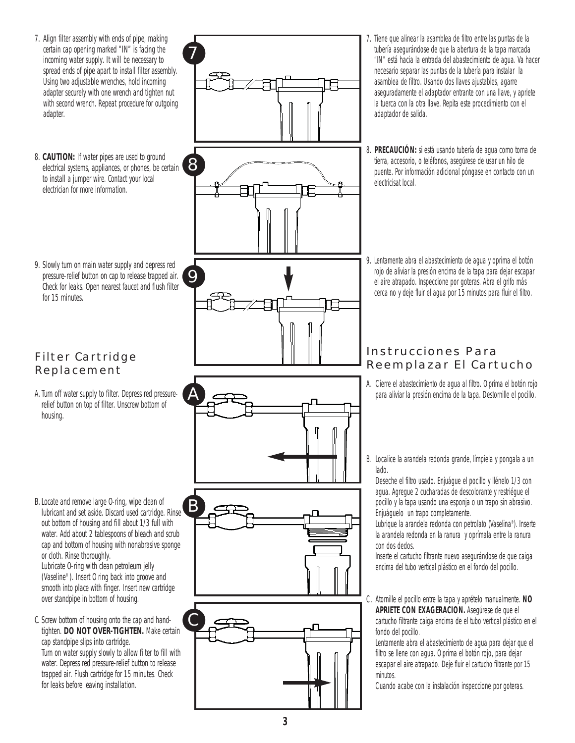7. Align filter assembly with ends of pipe, making certain cap opening marked "IN" is facing the incoming water supply. It will be necessary to spread ends of pipe apart to install filter assembly. Using two adjustable wrenches, hold incoming adapter securely with one wrench and tighten nut with second wrench. Repeat procedure for outgoing adapter.

7

- 8. **CAUTION:** If water pipes are used to ground electrical systems, appliances, or phones, be certain to install a jumper wire. Contact your local electrician for more information.
- 9. Slowly turn on main water supply and depress red pressure-relief button on cap to release trapped air. Check for leaks. Open nearest faucet and flush filter for 15 minutes.

### Filter Cartridge Replacement

- A. Turn off water supply to filter. Depress red pressurerelief button on top of filter. Unscrew bottom of housing.
- B. Locate and remove large O-ring, wipe clean of lubricant and set aside. Discard used cartridge. Rinse out bottom of housing and fill about 1/3 full with water. Add about 2 tablespoons of bleach and scrub cap and bottom of housing with nonabrasive sponge or cloth. Rinse thoroughly. Lubricate O-ring with clean petroleum jelly (Vaseline®). Insert O ring back into groove and smooth into place with finger. Insert new cartridge over standpipe in bottom of housing.
- C. Screw bottom of housing onto the cap and handtighten. **DO NOT OVER-TIGHTEN.** Make certain cap standpipe slips into cartridge. Turn on water supply slowly to allow filter to fill with water. Depress red pressure-relief button to release trapped air. Flush cartridge for 15 minutes. Check for leaks before leaving installation.



- *7. Tiene que alinear la asamblea de filtro entre las puntas de la tubería asegurándose de que la abertura de la tapa marcada "IN" está hacia la entrada del abastecimiento de agua. Va hacer necesario separar las puntas de la tubería para instalar la asamblea de filtro. Usando dos llaves ajustables, agarre aseguradamente el adaptador entrante con una llave, y apriete la tuerca con la otra llave. Repita este procedimiento con el adaptador de salida.*
- *8. PRECAUCIÓN: si está usando tubería de agua como toma de tierra, accesorio, o teléfonos, asegúrese de usar un hilo de puente. Por información adicional póngase en contacto con un electricisat local.*
- *9. Lentamente abra el abastecimiento de agua y oprima el botón rojo de aliviar la presión encima de la tapa para dejar escapar el aire atrapado. Inspeccione por goteras. Abra el grifo más cerca no y deje fluir el agua por 15 minutos para fluir el filtro.*

### Instrucciones Para Reemplazar El Cartucho

*A. Cierre el abastecimiento de agua al filtro. Oprima el botón rojo para aliviar la presión encima de la tapa. Destornille el pocillo.* 

*B. Localice la arandela redonda grande, límpiela y pongala a un lado.* 

*Deseche el filtro usado. Enjuágue el pocillo y llénelo 1/3 con agua. Agregue 2 cucharadas de descolorante y restriégue el pocillo y la tapa usando una esponja o un trapo sin abrasivo. Enjuáguelo un trapo completamente.*

*Lubrique la arandela redonda con petrolato (Vaselina®). Inserte la arandela redonda en la ranura y oprímala entre la ranura con dos dedos.* 

*Inserte el cartucho filtrante nuevo asegurándose de que caiga encima del tubo vertical plástico en el fondo del pocillo.* 

*C. Atornille el pocillo entre la tapa y aprételo manualmente. NO APRIETE CON EXAGERACION. Asegúrese de que el cartucho filtrante caiga encima de el tubo vertical plástico en el fondo del pocillo.*

*Lentamente abra el abastecimiento de agua para dejar que el filtro se llene con agua. Oprima el botón rojo, para dejar escapar el aire atrapado. Deje fluir el cartucho filtrante por 15 minutos.* 

*Cuando acabe con la instalación inspeccione por goteras.*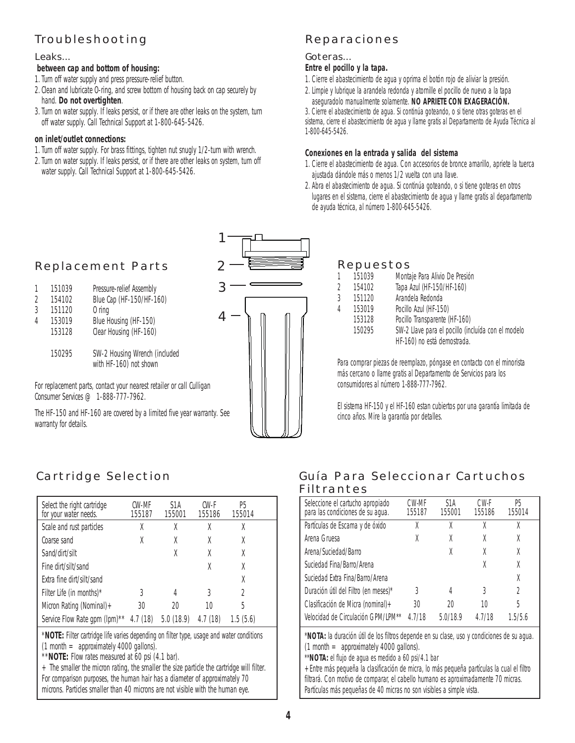# Troubleshooting

#### Leaks...

#### **between cap and bottom of housing:**

1. Turn off water supply and press pressure-relief button.

- 2. Clean and lubricate O-ring, and screw bottom of housing back on cap securely by hand. **Do not overtighten**.
- 3. Turn on water supply. If leaks persist, or if there are other leaks on the system, turn off water supply. Call Technical Support at 1-800-645-5426.

#### **on inlet/outlet connections:**

- 1. Turn off water supply. For brass fittings, tighten nut snugly 1/2-turn with wrench.
- 2. Turn on water supply. If leaks persist, or if there are other leaks on system, turn off water supply. Call Technical Support at 1-800-645-5426.

### Reparaciones

### Goteras...

### *Entre el pocillo y la tapa.*

- *1. Cierre el abastecimiento de agua y oprima el botón rojo de aliviar la presión.*
- *2. Limpie y lubrique la arandela redonda y atornille el pocillo de nuevo a la tapa aseguradolo manualmente solamente. NO APRIETE CON EXAGERACIÓN.*

*3. Cierre el abastecimiento de agua. Si continúa goteando, o si tiene otras goteras en el sistema, cierre el abastecimiento de agua y llame gratis al Departamento de Ayuda Técnica al 1-800-645-5426.* 

#### *Conexiones en la entrada y salida del sistema*

- *1. Cierre el abastecimiento de agua. Con accesorios de bronce amarillo, apriete la tuerca ajustada dándole más o menos 1/2 vuelta con una llave.*
- *2. Abra el abastecimiento de agua. Si continúa goteando, o si tiene goteras en otros lugares en el sistema, cierre el abastecimiento de agua y llame gratis al departamento de ayuda técnica, al número 1-800-645-5426.*

## Replacement Parts

| 1              | 151039 | Pressure-relief Assembly                                |
|----------------|--------|---------------------------------------------------------|
| $\overline{2}$ | 154102 | Blue Cap (HF-150/HF-160)                                |
| 3              | 151120 | $0$ ring                                                |
| 4              | 153019 | Blue Housing (HF-150)                                   |
|                | 153128 | Clear Housing (HF-160)                                  |
|                | 150295 | SW-2 Housing Wrench (included<br>with HF-160) not shown |

For replacement parts, contact your nearest retailer or call Culligan Consumer Services @ 1-888-777-7962.

The HF-150 and HF-160 are covered by a limited five year warranty. See warranty for details.



### Repuestos

| 1 | 151039 | Montaje Para Alivio De Presión                     |
|---|--------|----------------------------------------------------|
| 2 | 154102 | Tapa Azul (HF-150/HF-160)                          |
| 3 | 151120 | Arandela Redonda                                   |
| 4 | 153019 | Pocillo Azul (HF-150)                              |
|   | 153128 | Pocillo Transparente (HF-160)                      |
|   | 150295 | SW-2 Llave para el pocillo (incluída con el modelo |
|   |        | HF-160) no está demostrada.                        |

*Para comprar piezas de reemplazo, póngase en contacto con el minorista más cercano o llame gratis al Departamento de Servicios para los consumidores al número 1-888-777-7962.*

*El sistema HF-150 y el HF-160 estan cubiertos por una garantía limitada de cinco años. Mire la garantía por detalles.*

# Cartridge Selection

| Select the right cartridge<br>for your water needs. | C.W-MF<br>155187 | S1A<br>155001 | CW-F<br>155186 | P5<br>155014   |
|-----------------------------------------------------|------------------|---------------|----------------|----------------|
| Scale and rust particles                            | X                |               | X              | χ              |
| Coarse sand                                         | X                | X             | X              | X              |
| Sand/dirt/silt                                      |                  | X             | X              | X              |
| Fine dirt/silt/sand                                 |                  |               | X              | X              |
| Extra fine dirt/silt/sand                           |                  |               |                | X              |
| Filter Life (in months) $*$                         | 3                | 4             | 3              | $\mathfrak{D}$ |
| Micron Rating (Nominal) $+$                         | 30               | 20            | 10             | 5              |
| Service Flow Rate qpm (lpm)**                       | 4.7(18)          | 5.0(18.9)     | 4.7(18)        | 1.5(5.6)       |

\***NOTE:** Filter cartridge life varies depending on filter type, usage and water conditions  $(1$  month  $=$  approximately 4000 gallons).

\*\***NOTE:** Flow rates measured at 60 psi (4.1 bar).

 $+$  The smaller the micron rating, the smaller the size particle the cartridge will filter. For comparison purposes, the human hair has a diameter of approximately 70 microns. Particles smaller than 40 microns are not visible with the human eye.

### Guía Para Seleccionar Cartuchos Filtrantes

| Seleccione el cartucho apropiado<br>para las condiciones de su aqua. | CW-MF<br>155187 | S <sub>1</sub> A<br>155001 | CW-F<br>155186 | Р5<br>155014 |
|----------------------------------------------------------------------|-----------------|----------------------------|----------------|--------------|
| Partículas de Escama y de óxido                                      | χ               | χ                          | χ              | χ            |
| Arena Gruesa                                                         | X               | Χ                          |                | χ            |
| Arena/Suciedad/Barro                                                 |                 | X                          |                | χ            |
| Suciedad Fina/Barro/Arena                                            |                 |                            | Χ              | χ            |
| Suciedad Extra Fina/Barro/Arena                                      |                 |                            |                | X            |
| Duración útil del Filtro (en meses)*                                 | 3               | 4                          | 3              | 2            |
| Clasificación de Micra (nominal) +                                   | 30              | 20                         | 10             | 5            |
| Velocidad de Circulación GPM/LPM**                                   | 4 7/18          | 5.0/18.9                   | 4 7/18         | 1.5/5.6      |

*\*NOTA: la duración útil de los filtros depende en su clase, uso y condiciones de su agua.*  $(1$  month  $=$  approximately 4000 gallons).

*\*\*NOTA: el flujo de agua es medido a 60 psi/4.1 bar*

*+Entre más pequeña la clasificación de micra, lo más pequeña partículas la cual el filtro filtrará. Con motivo de comparar, el cabello humano es aproximadamente 70 micras. Partículas más pequeñas de 40 micras no son visibles a simple vista.*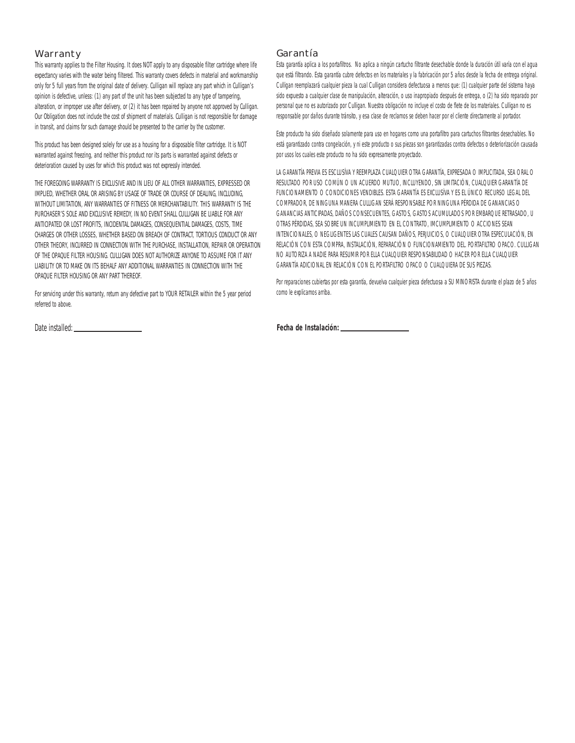#### Warranty

This warranty applies to the Filter Housing. It does NOT apply to any disposable filter cartridge where life expectancy varies with the water being filtered. This warranty covers defects in material and workmanship only for 5 full years from the original date of delivery. Culligan will replace any part which in Culligan's opinion is defective, unless: (1) any part of the unit has been subjected to any type of tampering, alteration, or improper use after delivery, or (2) it has been repaired by anyone not approved by Culligan. Our Obligation does not include the cost of shipment of materials. Culligan is not responsible for damage in transit, and claims for such damage should be presented to the carrier by the customer.

This product has been designed solely for use as a housing for a disposable filter cartridge. It is NOT warranted against freezing, and neither this product nor its parts is warranted against defects or deterioration caused by uses for which this product was not expressly intended.

THE FOREGOING WARRANTY IS EXCLUSIVE AND IN LIEU OF ALL OTHER WARRANTIES, EXPRESSED OR IMPLIED, WHETHER ORAL OR ARISING BY USAGE OF TRADE OR COURSE OF DEALING, INCLUDING, WITHOUT LIMITATION, ANY WARRANTIFS OF FITNESS OR MERCHANTABILITY. THIS WARRANTY IS THE PURCHASER'S SOLE AND EXCLUSIVE REMEDY. IN NO EVENT SHALL CULLIGAN BE LIABLE FOR ANY ANTICIPATED OR LOST PROFITS, INCIDENTAL DAMAGES, CONSEQUENTIAL DAMAGES, COSTS, TIME CHARGES OR OTHER LOSSES, WHETHER BASED ON BREACH OF CONTRACT, TORTIOUS CONDUCT OR ANY OTHER THEORY, INCURRED IN CONNECTION WITH THE PURCHASE, INSTALLATION, REPAIR OR OPERATION OF THE OPAQUE FILTER HOUSING. CULLIGAN DOES NOT AUTHORIZE ANYONE TO ASSUME FOR IT ANY LIABILITY OR TO MAKE ON ITS BEHALF ANY ADDITIONAL WARRANTIES IN CONNECTION WITH THE OPAQUE FILTER HOUSING OR ANY PART THEREOF.

For servicing under this warranty, return any defective part to YOUR RETAILER within the 5 year period referred to above.

Date installed:

### Garantía

*Esta garantía aplica a los portafiltros. No aplica a ningún cartucho filtrante desechable donde la duración útil varía con el agua que está filtrando. Esta garantía cubre defectos en los materiales y la fabricación por 5 años desde la fecha de entrega original. Culligan reemplazará cualquier pieza la cual Culligan considera defectuosa a menos que: (1) cualquier parte del sistema haya sido expuesto a cualquier clase de manipulación, alteración, o uso inapropiado después de entrega, o (2) ha sido reparado por personal que no es autorizado por Culligan. Nuestra obligación no incluye el costo de flete de los materiales. Culligan no es responsable por daños durante tránsito, y esa clase de reclamos se deben hacer por el cliente directamente al portador.*

*Este producto ha sido diseñado solamente para uso en hogares como una portafiltro para cartuchos filtrantes desechables. No está garantizado contra congelación, y ni este producto o sus piezas son garantizadas contra defectos o deteriorización causada por usos los cuales este producto no ha sido expresamente proyectado.*

*LA GARANTÍA PREVIA ES ESCLUSÍVA Y REEMPLAZA CUALQUIER OTRA GARANTÍA, EXPRESADA O IMPLICITADA, SEA ORAL O RESULTADO POR USO COMÚN O UN ACUERDO MUTUO, INCLUYENDO, SIN LIMITACIÓN, CUALQUIER GARANTÍA DE FUNCIONAMIENTO O CONDICIONES VENDIBLES. ESTA GARANTÍA ES EXCLUSÍVA Y ES EL ÚNICO RECURSO LEGAL DEL COMPRADOR, DE NINGUNA MANERA CULLIGAN SERÁ RESPONSABLE POR NINGUNA PÉRDIDA DE GANANCIAS O GANANCIAS ANTICIPADAS, DAÑOS CONSECUENTES, GASTOS, GASTOS ACUMULADOS POR EMBARQUE RETRASADO, U OTRAS PÉRDIDAS, SEA SOBRE UN INCUMPLIMIENTO EN EL CONTRATO, IMCUMPLIMIENTO O ACCIONES SEAN INTENCIONALES, O NEGLIGENTES LAS CUALES CAUSAN DAÑOS, PERJUICIOS, O CUALQUIER OTRA ESPECULACIÓN, EN RELACIÓN CON ESTA COMPRA, INSTALACIÓN, REPARACIÓN O FUNCIONAMIENTO DEL. PORTAFILTRO OPACO. CULLIGAN NO AUTORIZA A NADIE PARA RESUMIR POR ELLA CUALQUIER RESPONSABILIDAD O HACER POR ELLA CUALQUIER GARANTÍA ADICIONAL EN RELACIÓN CON EL PORTAFILTRO OPACO O CUALQUIERA DE SUS PIEZAS.*

*Por reparaciones cubiertas por esta garantía, devuelva cualquier pieza defectuosa a SU MINORISTA durante el plazo de 5 años como le explicamos arriba.*

*Fecha de Instalación:*